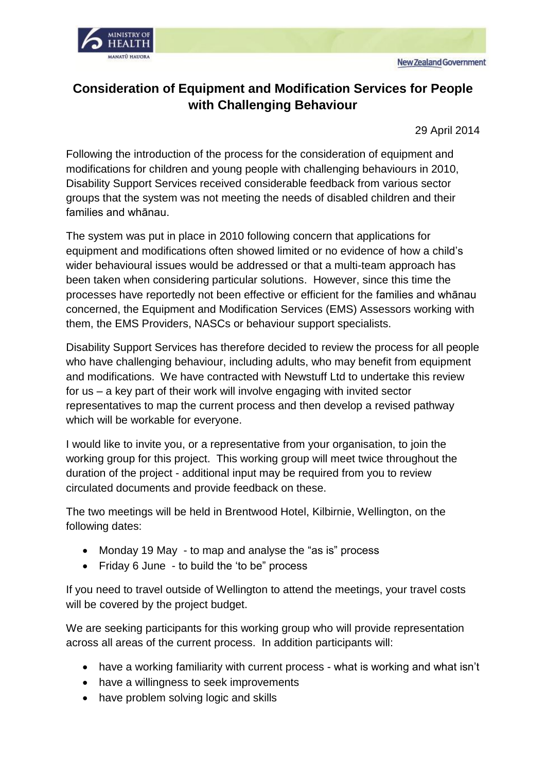



## **Consideration of Equipment and Modification Services for People with Challenging Behaviour**

29 April 2014

Following the introduction of the process for the consideration of equipment and modifications for children and young people with challenging behaviours in 2010, Disability Support Services received considerable feedback from various sector groups that the system was not meeting the needs of disabled children and their families and whānau.

The system was put in place in 2010 following concern that applications for equipment and modifications often showed limited or no evidence of how a child's wider behavioural issues would be addressed or that a multi-team approach has been taken when considering particular solutions. However, since this time the processes have reportedly not been effective or efficient for the families and whānau concerned, the Equipment and Modification Services (EMS) Assessors working with them, the EMS Providers, NASCs or behaviour support specialists.

Disability Support Services has therefore decided to review the process for all people who have challenging behaviour, including adults, who may benefit from equipment and modifications. We have contracted with Newstuff Ltd to undertake this review for us – a key part of their work will involve engaging with invited sector representatives to map the current process and then develop a revised pathway which will be workable for everyone.

I would like to invite you, or a representative from your organisation, to join the working group for this project. This working group will meet twice throughout the duration of the project - additional input may be required from you to review circulated documents and provide feedback on these.

The two meetings will be held in Brentwood Hotel, Kilbirnie, Wellington, on the following dates:

- Monday 19 May to map and analyse the "as is" process
- Friday 6 June to build the 'to be" process

If you need to travel outside of Wellington to attend the meetings, your travel costs will be covered by the project budget.

We are seeking participants for this working group who will provide representation across all areas of the current process. In addition participants will:

- have a working familiarity with current process what is working and what isn't
- have a willingness to seek improvements
- have problem solving logic and skills